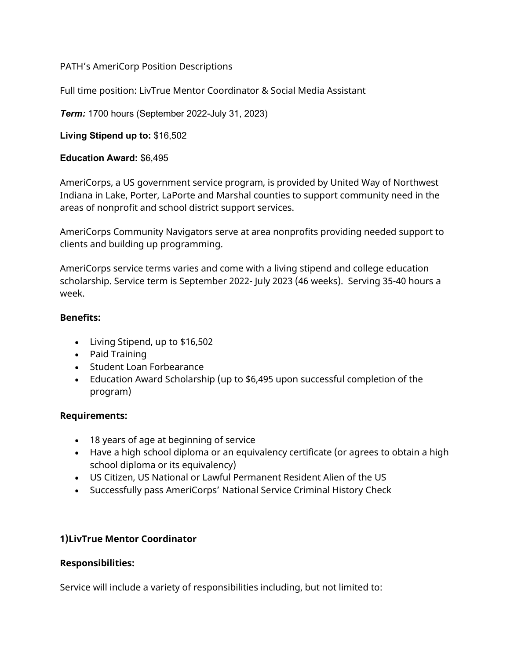#### PATH's AmeriCorp Position Descriptions

Full time position: LivTrue Mentor Coordinator & Social Media Assistant

*Term:* 1700 hours (September 2022-July 31, 2023)

**Living Stipend up to:** \$16,502

#### **Education Award:** \$6,495

AmeriCorps, a US government service program, is provided by United Way of Northwest Indiana in Lake, Porter, LaPorte and Marshal counties to support community need in the areas of nonprofit and school district support services.

AmeriCorps Community Navigators serve at area nonprofits providing needed support to clients and building up programming.

AmeriCorps service terms varies and come with a living stipend and college education scholarship. Service term is September 2022- July 2023 (46 weeks). Serving 35-40 hours a week.

### **Benefits:**

- Living Stipend, up to \$16,502
- Paid Training
- Student Loan Forbearance
- Education Award Scholarship (up to \$6,495 upon successful completion of the program)

## **Requirements:**

- 18 years of age at beginning of service
- Have a high school diploma or an equivalency certificate (or agrees to obtain a high school diploma or its equivalency)
- US Citizen, US National or Lawful Permanent Resident Alien of the US
- Successfully pass AmeriCorps' National Service Criminal History Check

## **1)LivTrue Mentor Coordinator**

## **Responsibilities:**

Service will include a variety of responsibilities including, but not limited to: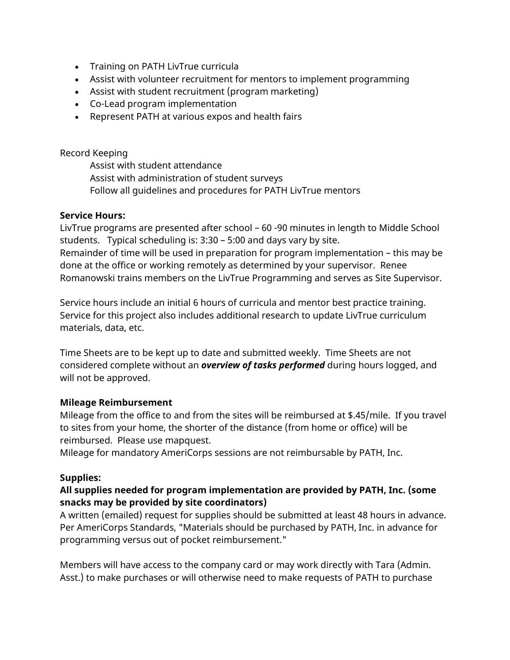- Training on PATH LivTrue curricula
- Assist with volunteer recruitment for mentors to implement programming
- Assist with student recruitment (program marketing)
- Co-Lead program implementation
- Represent PATH at various expos and health fairs

#### Record Keeping

Assist with student attendance Assist with administration of student surveys Follow all guidelines and procedures for PATH LivTrue mentors

### **Service Hours:**

LivTrue programs are presented after school – 60 -90 minutes in length to Middle School students. Typical scheduling is: 3:30 – 5:00 and days vary by site. Remainder of time will be used in preparation for program implementation – this may be done at the office or working remotely as determined by your supervisor. Renee Romanowski trains members on the LivTrue Programming and serves as Site Supervisor.

Service hours include an initial 6 hours of curricula and mentor best practice training. Service for this project also includes additional research to update LivTrue curriculum materials, data, etc.

Time Sheets are to be kept up to date and submitted weekly. Time Sheets are not considered complete without an *overview of tasks performed* during hours logged, and will not be approved.

#### **Mileage Reimbursement**

Mileage from the office to and from the sites will be reimbursed at \$.45/mile. If you travel to sites from your home, the shorter of the distance (from home or office) will be reimbursed. Please use mapquest.

Mileage for mandatory AmeriCorps sessions are not reimbursable by PATH, Inc.

## **Supplies:**

## **All supplies needed for program implementation are provided by PATH, Inc. (some snacks may be provided by site coordinators)**

A written (emailed) request for supplies should be submitted at least 48 hours in advance. Per AmeriCorps Standards, "Materials should be purchased by PATH, Inc. in advance for programming versus out of pocket reimbursement."

Members will have access to the company card or may work directly with Tara (Admin. Asst.) to make purchases or will otherwise need to make requests of PATH to purchase